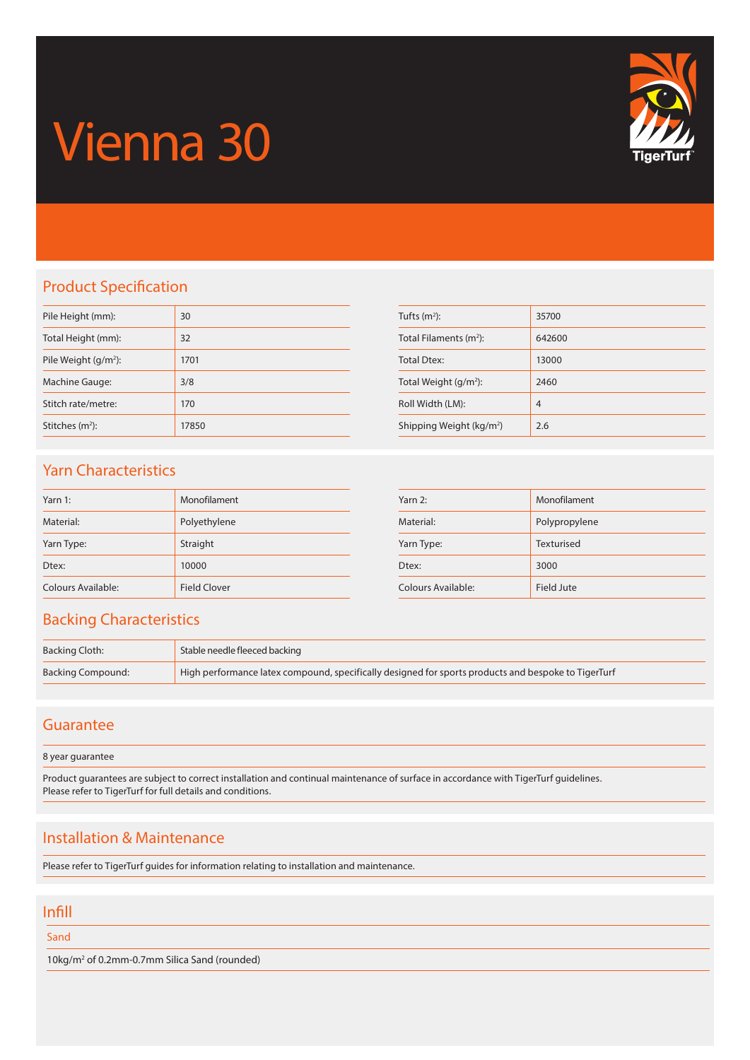# Vienna 30



## Product Specification

| Pile Height (mm):           | 30    |
|-----------------------------|-------|
| Total Height (mm):          | 32    |
| Pile Weight $(g/m^2)$ :     | 1701  |
| Machine Gauge:              | 3/8   |
| Stitch rate/metre:          | 170   |
| Stitches (m <sup>2</sup> ): | 17850 |

| Tufts $(m2)$ :                       | 35700          |
|--------------------------------------|----------------|
| Total Filaments $(m2)$ :             | 642600         |
| <b>Total Dtex:</b>                   | 13000          |
| Total Weight $(g/m^2)$ :             | 2460           |
| Roll Width (LM):                     | $\overline{4}$ |
| Shipping Weight (kg/m <sup>2</sup> ) | 2.6            |

## Yarn Characteristics

| Yarn 1:            | Monofilament        |
|--------------------|---------------------|
| Material:          | Polyethylene        |
| Yarn Type:         | Straight            |
| Dtex:              | 10000               |
| Colours Available: | <b>Field Clover</b> |

| Yarn 2:            | Monofilament  |
|--------------------|---------------|
| Material:          | Polypropylene |
| Yarn Type:         | Texturised    |
| Dtex:              | 3000          |
| Colours Available: | Field Jute    |

#### Backing Characteristics

| Backing Cloth:    | Stable needle fleeced backing                                                                       |
|-------------------|-----------------------------------------------------------------------------------------------------|
| Backing Compound: | High performance latex compound, specifically designed for sports products and bespoke to TigerTurf |

#### **Guarantee**

8 year guarantee

Product guarantees are subject to correct installation and continual maintenance of surface in accordance with TigerTurf guidelines. Please refer to TigerTurf for full details and conditions.

## Installation & Maintenance

Please refer to TigerTurf guides for information relating to installation and maintenance.

#### Infill

Sand

10kg/m2 of 0.2mm-0.7mm Silica Sand (rounded)